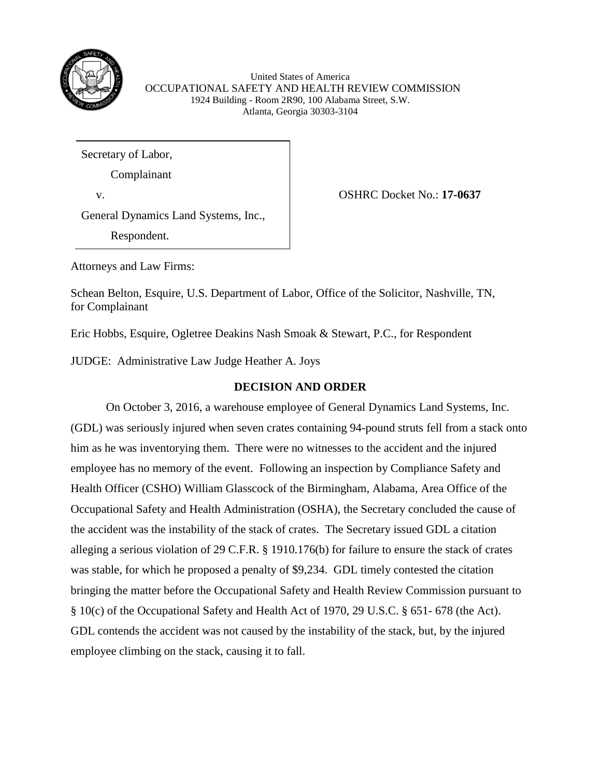

United States of America OCCUPATIONAL SAFETY AND HEALTH REVIEW COMMISSION 1924 Building - Room 2R90, 100 Alabama Street, S.W. Atlanta, Georgia 30303-3104

Secretary of Labor,

Complainant

v. OSHRC Docket No.: **17-0637**

General Dynamics Land Systems, Inc.,

Respondent.

Attorneys and Law Firms:

Schean Belton, Esquire, U.S. Department of Labor, Office of the Solicitor, Nashville, TN, for Complainant

Eric Hobbs, Esquire, Ogletree Deakins Nash Smoak & Stewart, P.C., for Respondent

JUDGE: Administrative Law Judge Heather A. Joys

# **DECISION AND ORDER**

On October 3, 2016, a warehouse employee of General Dynamics Land Systems, Inc. (GDL) was seriously injured when seven crates containing 94-pound struts fell from a stack onto him as he was inventorying them. There were no witnesses to the accident and the injured employee has no memory of the event. Following an inspection by Compliance Safety and Health Officer (CSHO) William Glasscock of the Birmingham, Alabama, Area Office of the Occupational Safety and Health Administration (OSHA), the Secretary concluded the cause of the accident was the instability of the stack of crates. The Secretary issued GDL a citation alleging a serious violation of 29 C.F.R. § 1910.176(b) for failure to ensure the stack of crates was stable, for which he proposed a penalty of \$9,234. GDL timely contested the citation bringing the matter before the Occupational Safety and Health Review Commission pursuant to § 10(c) of the Occupational Safety and Health Act of 1970, 29 U.S.C. § 651- 678 (the Act). GDL contends the accident was not caused by the instability of the stack, but, by the injured employee climbing on the stack, causing it to fall.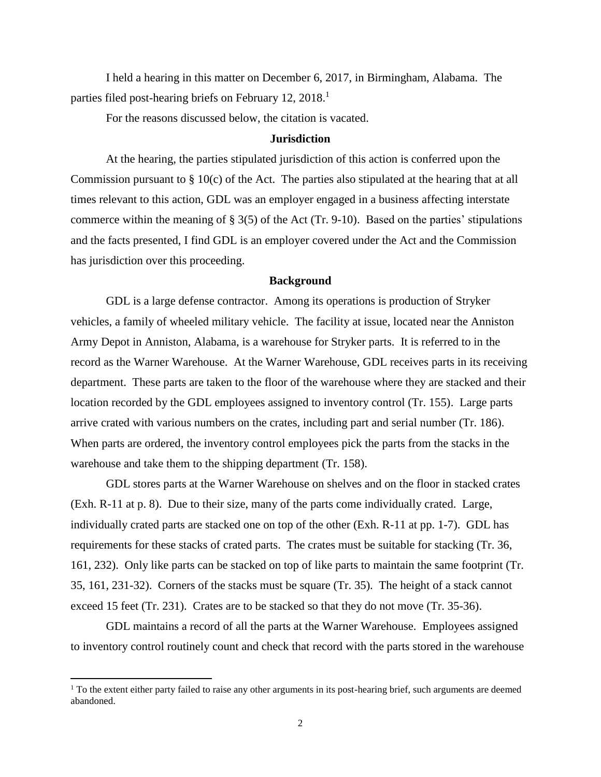I held a hearing in this matter on December 6, 2017, in Birmingham, Alabama. The parties filed post-hearing briefs on February 12, 2018.<sup>1</sup>

For the reasons discussed below, the citation is vacated.

#### **Jurisdiction**

At the hearing, the parties stipulated jurisdiction of this action is conferred upon the Commission pursuant to § 10(c) of the Act. The parties also stipulated at the hearing that at all times relevant to this action, GDL was an employer engaged in a business affecting interstate commerce within the meaning of  $\S 3(5)$  of the Act (Tr. 9-10). Based on the parties' stipulations and the facts presented, I find GDL is an employer covered under the Act and the Commission has jurisdiction over this proceeding.

# **Background**

GDL is a large defense contractor. Among its operations is production of Stryker vehicles, a family of wheeled military vehicle. The facility at issue, located near the Anniston Army Depot in Anniston, Alabama, is a warehouse for Stryker parts. It is referred to in the record as the Warner Warehouse. At the Warner Warehouse, GDL receives parts in its receiving department. These parts are taken to the floor of the warehouse where they are stacked and their location recorded by the GDL employees assigned to inventory control (Tr. 155). Large parts arrive crated with various numbers on the crates, including part and serial number (Tr. 186). When parts are ordered, the inventory control employees pick the parts from the stacks in the warehouse and take them to the shipping department (Tr. 158).

GDL stores parts at the Warner Warehouse on shelves and on the floor in stacked crates (Exh. R-11 at p. 8). Due to their size, many of the parts come individually crated. Large, individually crated parts are stacked one on top of the other (Exh. R-11 at pp. 1-7). GDL has requirements for these stacks of crated parts. The crates must be suitable for stacking (Tr. 36, 161, 232). Only like parts can be stacked on top of like parts to maintain the same footprint (Tr. 35, 161, 231-32). Corners of the stacks must be square (Tr. 35). The height of a stack cannot exceed 15 feet (Tr. 231). Crates are to be stacked so that they do not move (Tr. 35-36).

GDL maintains a record of all the parts at the Warner Warehouse. Employees assigned to inventory control routinely count and check that record with the parts stored in the warehouse

<sup>&</sup>lt;sup>1</sup> To the extent either party failed to raise any other arguments in its post-hearing brief, such arguments are deemed abandoned.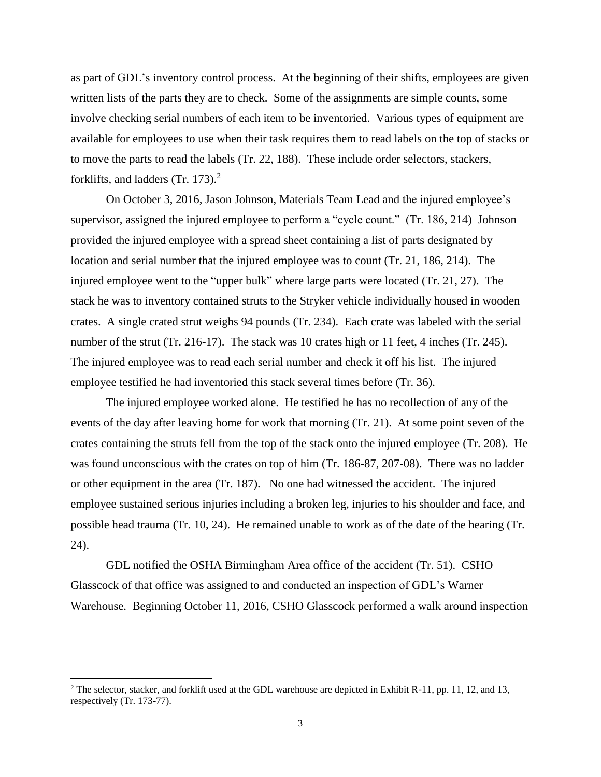as part of GDL's inventory control process. At the beginning of their shifts, employees are given written lists of the parts they are to check. Some of the assignments are simple counts, some involve checking serial numbers of each item to be inventoried. Various types of equipment are available for employees to use when their task requires them to read labels on the top of stacks or to move the parts to read the labels (Tr. 22, 188). These include order selectors, stackers, forklifts, and ladders  $(Tr. 173).<sup>2</sup>$ 

On October 3, 2016, Jason Johnson, Materials Team Lead and the injured employee's supervisor, assigned the injured employee to perform a "cycle count." (Tr. 186, 214) Johnson provided the injured employee with a spread sheet containing a list of parts designated by location and serial number that the injured employee was to count (Tr. 21, 186, 214). The injured employee went to the "upper bulk" where large parts were located (Tr. 21, 27). The stack he was to inventory contained struts to the Stryker vehicle individually housed in wooden crates. A single crated strut weighs 94 pounds (Tr. 234). Each crate was labeled with the serial number of the strut (Tr. 216-17). The stack was 10 crates high or 11 feet, 4 inches (Tr. 245). The injured employee was to read each serial number and check it off his list. The injured employee testified he had inventoried this stack several times before (Tr. 36).

The injured employee worked alone. He testified he has no recollection of any of the events of the day after leaving home for work that morning (Tr. 21). At some point seven of the crates containing the struts fell from the top of the stack onto the injured employee (Tr. 208). He was found unconscious with the crates on top of him (Tr. 186-87, 207-08). There was no ladder or other equipment in the area (Tr. 187). No one had witnessed the accident. The injured employee sustained serious injuries including a broken leg, injuries to his shoulder and face, and possible head trauma (Tr. 10, 24). He remained unable to work as of the date of the hearing (Tr. 24).

GDL notified the OSHA Birmingham Area office of the accident (Tr. 51). CSHO Glasscock of that office was assigned to and conducted an inspection of GDL's Warner Warehouse. Beginning October 11, 2016, CSHO Glasscock performed a walk around inspection

<sup>&</sup>lt;sup>2</sup> The selector, stacker, and forklift used at the GDL warehouse are depicted in Exhibit R-11, pp. 11, 12, and 13, respectively (Tr. 173-77).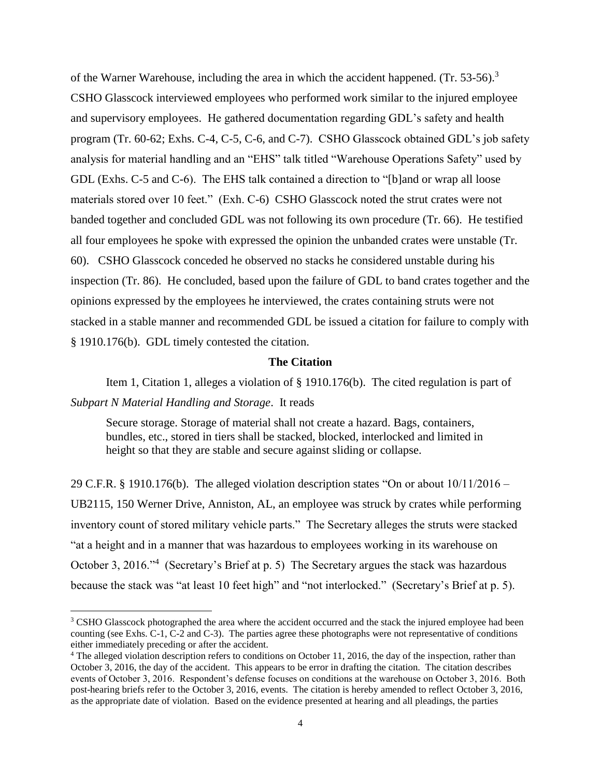of the Warner Warehouse, including the area in which the accident happened. (Tr. 53-56).<sup>3</sup> CSHO Glasscock interviewed employees who performed work similar to the injured employee and supervisory employees. He gathered documentation regarding GDL's safety and health program (Tr. 60-62; Exhs. C-4, C-5, C-6, and C-7). CSHO Glasscock obtained GDL's job safety analysis for material handling and an "EHS" talk titled "Warehouse Operations Safety" used by GDL (Exhs. C-5 and C-6). The EHS talk contained a direction to "[b]and or wrap all loose materials stored over 10 feet." (Exh. C-6) CSHO Glasscock noted the strut crates were not banded together and concluded GDL was not following its own procedure (Tr. 66). He testified all four employees he spoke with expressed the opinion the unbanded crates were unstable (Tr. 60). CSHO Glasscock conceded he observed no stacks he considered unstable during his inspection (Tr. 86). He concluded, based upon the failure of GDL to band crates together and the opinions expressed by the employees he interviewed, the crates containing struts were not stacked in a stable manner and recommended GDL be issued a citation for failure to comply with § 1910.176(b). GDL timely contested the citation.

#### **The Citation**

Item 1, Citation 1, alleges a violation of § 1910.176(b). The cited regulation is part of *Subpart N Material Handling and Storage*. It reads

Secure storage. Storage of material shall not create a hazard. Bags, containers, bundles, etc., stored in tiers shall be stacked, blocked, interlocked and limited in height so that they are stable and secure against sliding or collapse.

29 C.F.R. § 1910.176(b). The alleged violation description states "On or about 10/11/2016 – UB2115, 150 Werner Drive, Anniston, AL, an employee was struck by crates while performing inventory count of stored military vehicle parts." The Secretary alleges the struts were stacked "at a height and in a manner that was hazardous to employees working in its warehouse on October 3, 2016."<sup>4</sup> (Secretary's Brief at p. 5) The Secretary argues the stack was hazardous because the stack was "at least 10 feet high" and "not interlocked." (Secretary's Brief at p. 5).

<sup>&</sup>lt;sup>3</sup> CSHO Glasscock photographed the area where the accident occurred and the stack the injured employee had been counting (see Exhs. C-1, C-2 and C-3). The parties agree these photographs were not representative of conditions either immediately preceding or after the accident.

<sup>&</sup>lt;sup>4</sup> The alleged violation description refers to conditions on October 11, 2016, the day of the inspection, rather than October 3, 2016, the day of the accident. This appears to be error in drafting the citation. The citation describes events of October 3, 2016. Respondent's defense focuses on conditions at the warehouse on October 3, 2016. Both post-hearing briefs refer to the October 3, 2016, events. The citation is hereby amended to reflect October 3, 2016, as the appropriate date of violation. Based on the evidence presented at hearing and all pleadings, the parties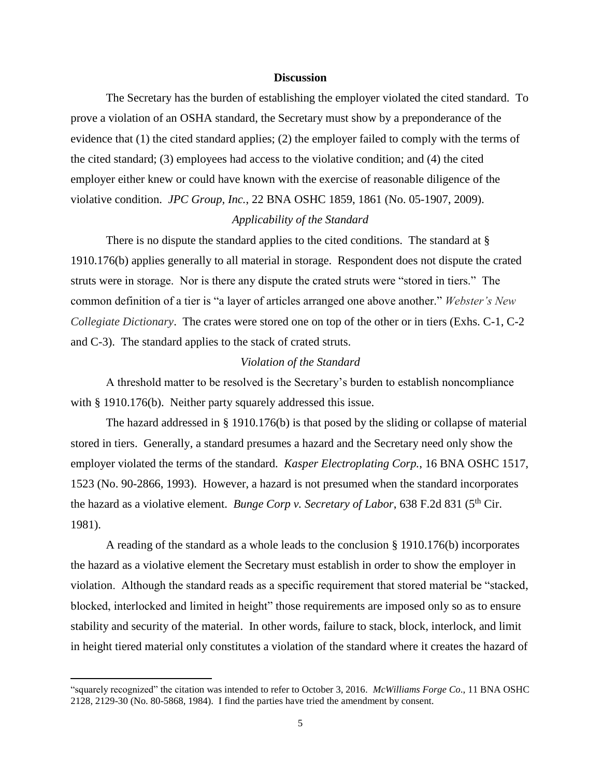#### **Discussion**

The Secretary has the burden of establishing the employer violated the cited standard. To prove a violation of an OSHA standard, the Secretary must show by a preponderance of the evidence that (1) the cited standard applies; (2) the employer failed to comply with the terms of the cited standard; (3) employees had access to the violative condition; and (4) the cited employer either knew or could have known with the exercise of reasonable diligence of the violative condition. *JPC Group, Inc.*, 22 BNA OSHC 1859, 1861 (No. 05-1907, 2009).

## *Applicability of the Standard*

There is no dispute the standard applies to the cited conditions. The standard at § 1910.176(b) applies generally to all material in storage. Respondent does not dispute the crated struts were in storage. Nor is there any dispute the crated struts were "stored in tiers." The common definition of a tier is "a layer of articles arranged one above another." *Webster's New Collegiate Dictionary*. The crates were stored one on top of the other or in tiers (Exhs. C-1, C-2 and C-3). The standard applies to the stack of crated struts.

## *Violation of the Standard*

A threshold matter to be resolved is the Secretary's burden to establish noncompliance with § 1910.176(b). Neither party squarely addressed this issue.

The hazard addressed in § 1910.176(b) is that posed by the sliding or collapse of material stored in tiers. Generally, a standard presumes a hazard and the Secretary need only show the employer violated the terms of the standard. *Kasper Electroplating Corp.*, 16 BNA OSHC 1517, 1523 (No. 90-2866, 1993). However, a hazard is not presumed when the standard incorporates the hazard as a violative element. *Bunge Corp v. Secretary of Labor*, 638 F.2d 831 (5<sup>th</sup> Cir. 1981).

A reading of the standard as a whole leads to the conclusion § 1910.176(b) incorporates the hazard as a violative element the Secretary must establish in order to show the employer in violation. Although the standard reads as a specific requirement that stored material be "stacked, blocked, interlocked and limited in height" those requirements are imposed only so as to ensure stability and security of the material. In other words, failure to stack, block, interlock, and limit in height tiered material only constitutes a violation of the standard where it creates the hazard of

<sup>&</sup>quot;squarely recognized" the citation was intended to refer to October 3, 2016. *McWilliams Forge Co*., 11 BNA OSHC 2128, 2129-30 (No. 80-5868, 1984). I find the parties have tried the amendment by consent.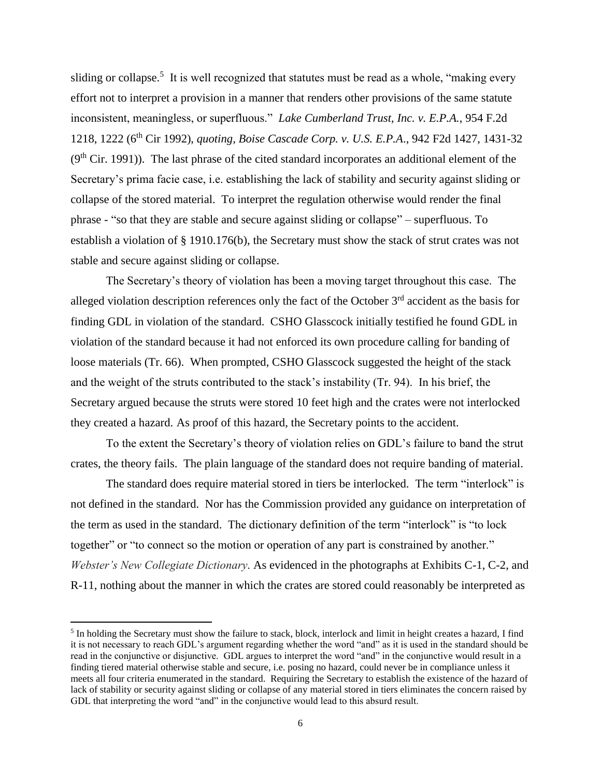sliding or collapse.<sup>5</sup> It is well recognized that statutes must be read as a whole, "making every effort not to interpret a provision in a manner that renders other provisions of the same statute inconsistent, meaningless, or superfluous." *Lake Cumberland Trust, Inc. v. E.P.A.*, 954 F.2d 1218, 1222 (6th Cir 1992), *quoting, Boise Cascade Corp. v. U.S. E.P.A*., 942 F2d 1427, 1431-32  $(9<sup>th</sup> Cir. 1991)$ ). The last phrase of the cited standard incorporates an additional element of the Secretary's prima facie case, i.e. establishing the lack of stability and security against sliding or collapse of the stored material. To interpret the regulation otherwise would render the final phrase - "so that they are stable and secure against sliding or collapse" – superfluous. To establish a violation of § 1910.176(b), the Secretary must show the stack of strut crates was not stable and secure against sliding or collapse.

The Secretary's theory of violation has been a moving target throughout this case. The alleged violation description references only the fact of the October  $3<sup>rd</sup>$  accident as the basis for finding GDL in violation of the standard. CSHO Glasscock initially testified he found GDL in violation of the standard because it had not enforced its own procedure calling for banding of loose materials (Tr. 66). When prompted, CSHO Glasscock suggested the height of the stack and the weight of the struts contributed to the stack's instability (Tr. 94). In his brief, the Secretary argued because the struts were stored 10 feet high and the crates were not interlocked they created a hazard. As proof of this hazard, the Secretary points to the accident.

To the extent the Secretary's theory of violation relies on GDL's failure to band the strut crates, the theory fails. The plain language of the standard does not require banding of material.

The standard does require material stored in tiers be interlocked. The term "interlock" is not defined in the standard. Nor has the Commission provided any guidance on interpretation of the term as used in the standard. The dictionary definition of the term "interlock" is "to lock together" or "to connect so the motion or operation of any part is constrained by another." *Webster's New Collegiate Dictionary.* As evidenced in the photographs at Exhibits C-1, C-2, and R-11, nothing about the manner in which the crates are stored could reasonably be interpreted as

 $<sup>5</sup>$  In holding the Secretary must show the failure to stack, block, interlock and limit in height creates a hazard, I find</sup> it is not necessary to reach GDL's argument regarding whether the word "and" as it is used in the standard should be read in the conjunctive or disjunctive. GDL argues to interpret the word "and" in the conjunctive would result in a finding tiered material otherwise stable and secure, i.e. posing no hazard, could never be in compliance unless it meets all four criteria enumerated in the standard. Requiring the Secretary to establish the existence of the hazard of lack of stability or security against sliding or collapse of any material stored in tiers eliminates the concern raised by GDL that interpreting the word "and" in the conjunctive would lead to this absurd result.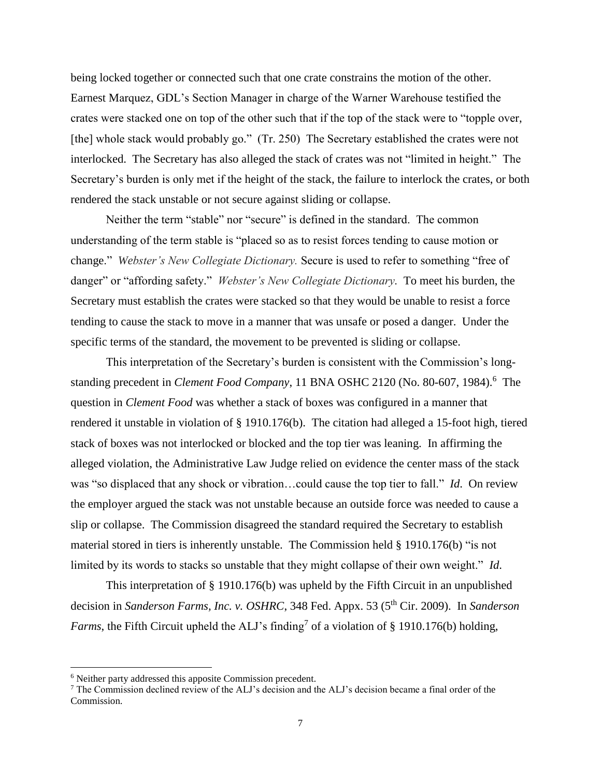being locked together or connected such that one crate constrains the motion of the other. Earnest Marquez, GDL's Section Manager in charge of the Warner Warehouse testified the crates were stacked one on top of the other such that if the top of the stack were to "topple over, [the] whole stack would probably go." (Tr. 250) The Secretary established the crates were not interlocked. The Secretary has also alleged the stack of crates was not "limited in height." The Secretary's burden is only met if the height of the stack, the failure to interlock the crates, or both rendered the stack unstable or not secure against sliding or collapse.

Neither the term "stable" nor "secure" is defined in the standard. The common understanding of the term stable is "placed so as to resist forces tending to cause motion or change." *Webster's New Collegiate Dictionary.* Secure is used to refer to something "free of danger" or "affording safety." *Webster's New Collegiate Dictionary.* To meet his burden, the Secretary must establish the crates were stacked so that they would be unable to resist a force tending to cause the stack to move in a manner that was unsafe or posed a danger. Under the specific terms of the standard, the movement to be prevented is sliding or collapse.

This interpretation of the Secretary's burden is consistent with the Commission's longstanding precedent in *Clement Food Company*, 11 BNA OSHC 2120 (No. 80-607, 1984).<sup>6</sup> The question in *Clement Food* was whether a stack of boxes was configured in a manner that rendered it unstable in violation of § 1910.176(b). The citation had alleged a 15-foot high, tiered stack of boxes was not interlocked or blocked and the top tier was leaning. In affirming the alleged violation, the Administrative Law Judge relied on evidence the center mass of the stack was "so displaced that any shock or vibration…could cause the top tier to fall." *Id*. On review the employer argued the stack was not unstable because an outside force was needed to cause a slip or collapse. The Commission disagreed the standard required the Secretary to establish material stored in tiers is inherently unstable. The Commission held § 1910.176(b) "is not limited by its words to stacks so unstable that they might collapse of their own weight." *Id*.

This interpretation of § 1910.176(b) was upheld by the Fifth Circuit in an unpublished decision in *Sanderson Farms, Inc. v. OSHRC*, 348 Fed. Appx. 53 (5<sup>th</sup> Cir. 2009). In *Sanderson Farms*, the Fifth Circuit upheld the ALJ's finding<sup>7</sup> of a violation of § 1910.176(b) holding,

<sup>6</sup> Neither party addressed this apposite Commission precedent.

<sup>7</sup> The Commission declined review of the ALJ's decision and the ALJ's decision became a final order of the Commission.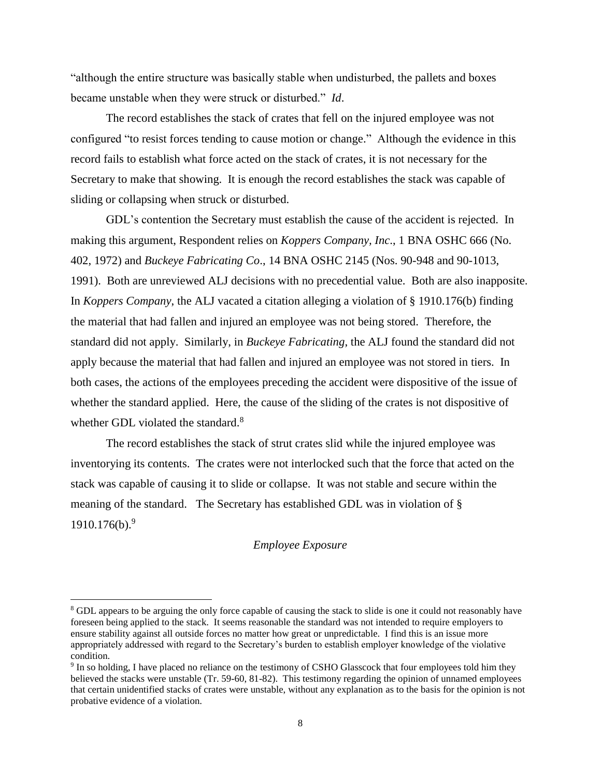"although the entire structure was basically stable when undisturbed, the pallets and boxes became unstable when they were struck or disturbed." *Id*.

The record establishes the stack of crates that fell on the injured employee was not configured "to resist forces tending to cause motion or change." Although the evidence in this record fails to establish what force acted on the stack of crates, it is not necessary for the Secretary to make that showing. It is enough the record establishes the stack was capable of sliding or collapsing when struck or disturbed.

GDL's contention the Secretary must establish the cause of the accident is rejected. In making this argument, Respondent relies on *Koppers Company, Inc*., 1 BNA OSHC 666 (No. 402, 1972) and *Buckeye Fabricating Co*., 14 BNA OSHC 2145 (Nos. 90-948 and 90-1013, 1991). Both are unreviewed ALJ decisions with no precedential value. Both are also inapposite. In *Koppers Company*, the ALJ vacated a citation alleging a violation of § 1910.176(b) finding the material that had fallen and injured an employee was not being stored. Therefore, the standard did not apply. Similarly, in *Buckeye Fabricating*, the ALJ found the standard did not apply because the material that had fallen and injured an employee was not stored in tiers. In both cases, the actions of the employees preceding the accident were dispositive of the issue of whether the standard applied. Here, the cause of the sliding of the crates is not dispositive of whether GDL violated the standard.<sup>8</sup>

The record establishes the stack of strut crates slid while the injured employee was inventorying its contents. The crates were not interlocked such that the force that acted on the stack was capable of causing it to slide or collapse. It was not stable and secure within the meaning of the standard. The Secretary has established GDL was in violation of §  $1910.176(b).<sup>9</sup>$ 

### *Employee Exposure*

<sup>&</sup>lt;sup>8</sup> GDL appears to be arguing the only force capable of causing the stack to slide is one it could not reasonably have foreseen being applied to the stack. It seems reasonable the standard was not intended to require employers to ensure stability against all outside forces no matter how great or unpredictable. I find this is an issue more appropriately addressed with regard to the Secretary's burden to establish employer knowledge of the violative condition.

<sup>&</sup>lt;sup>9</sup> In so holding, I have placed no reliance on the testimony of CSHO Glasscock that four employees told him they believed the stacks were unstable (Tr. 59-60, 81-82). This testimony regarding the opinion of unnamed employees that certain unidentified stacks of crates were unstable, without any explanation as to the basis for the opinion is not probative evidence of a violation.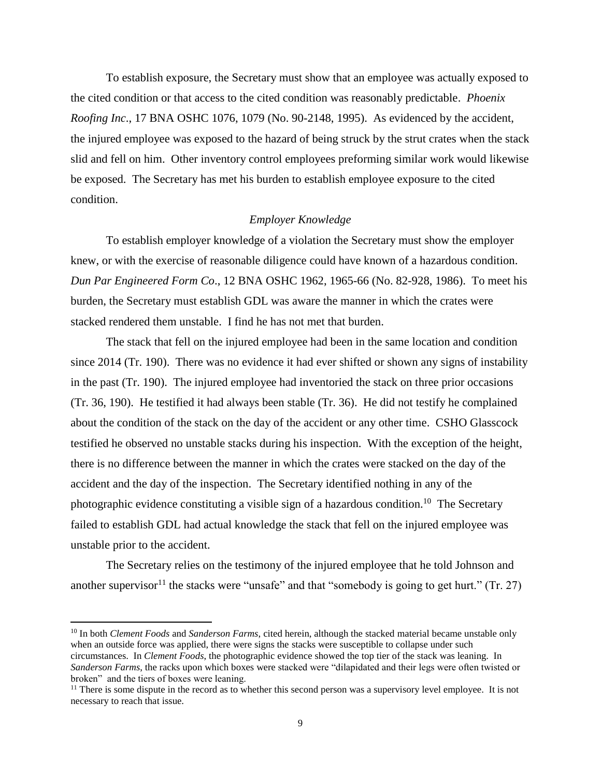To establish exposure, the Secretary must show that an employee was actually exposed to the cited condition or that access to the cited condition was reasonably predictable. *Phoenix Roofing Inc*., 17 BNA OSHC 1076, 1079 (No. 90-2148, 1995). As evidenced by the accident, the injured employee was exposed to the hazard of being struck by the strut crates when the stack slid and fell on him. Other inventory control employees preforming similar work would likewise be exposed. The Secretary has met his burden to establish employee exposure to the cited condition.

### *Employer Knowledge*

To establish employer knowledge of a violation the Secretary must show the employer knew, or with the exercise of reasonable diligence could have known of a hazardous condition. *Dun Par Engineered Form Co*., 12 BNA OSHC 1962, 1965-66 (No. 82-928, 1986). To meet his burden, the Secretary must establish GDL was aware the manner in which the crates were stacked rendered them unstable. I find he has not met that burden.

The stack that fell on the injured employee had been in the same location and condition since 2014 (Tr. 190). There was no evidence it had ever shifted or shown any signs of instability in the past (Tr. 190). The injured employee had inventoried the stack on three prior occasions (Tr. 36, 190). He testified it had always been stable (Tr. 36). He did not testify he complained about the condition of the stack on the day of the accident or any other time. CSHO Glasscock testified he observed no unstable stacks during his inspection. With the exception of the height, there is no difference between the manner in which the crates were stacked on the day of the accident and the day of the inspection. The Secretary identified nothing in any of the photographic evidence constituting a visible sign of a hazardous condition.<sup>10</sup> The Secretary failed to establish GDL had actual knowledge the stack that fell on the injured employee was unstable prior to the accident.

The Secretary relies on the testimony of the injured employee that he told Johnson and another supervisor<sup>11</sup> the stacks were "unsafe" and that "somebody is going to get hurt." (Tr. 27)

<sup>10</sup> In both *Clement Foods* and *Sanderson Farms*, cited herein, although the stacked material became unstable only when an outside force was applied, there were signs the stacks were susceptible to collapse under such circumstances. In *Clement Foods*, the photographic evidence showed the top tier of the stack was leaning. In *Sanderson Farms*, the racks upon which boxes were stacked were "dilapidated and their legs were often twisted or broken" and the tiers of boxes were leaning.

<sup>&</sup>lt;sup>11</sup> There is some dispute in the record as to whether this second person was a supervisory level employee. It is not necessary to reach that issue.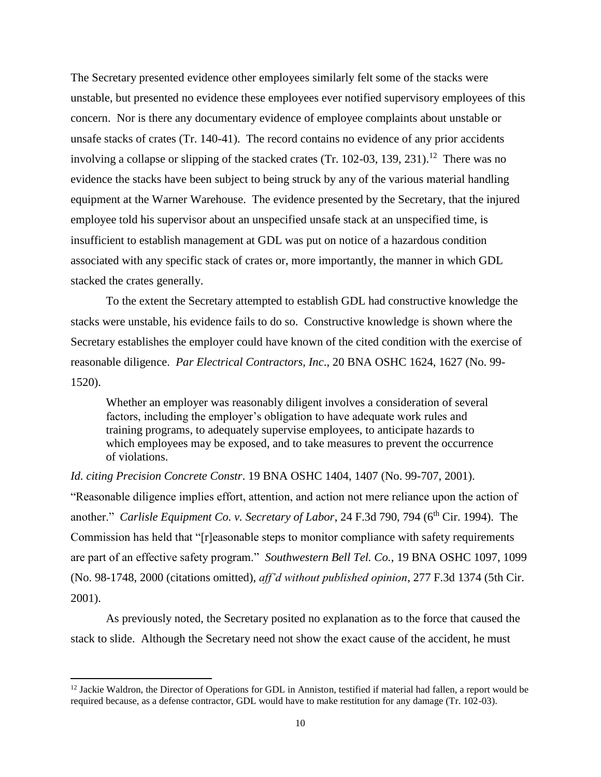The Secretary presented evidence other employees similarly felt some of the stacks were unstable, but presented no evidence these employees ever notified supervisory employees of this concern. Nor is there any documentary evidence of employee complaints about unstable or unsafe stacks of crates (Tr. 140-41). The record contains no evidence of any prior accidents involving a collapse or slipping of the stacked crates (Tr. 102-03, 139, 231).<sup>12</sup> There was no evidence the stacks have been subject to being struck by any of the various material handling equipment at the Warner Warehouse. The evidence presented by the Secretary, that the injured employee told his supervisor about an unspecified unsafe stack at an unspecified time, is insufficient to establish management at GDL was put on notice of a hazardous condition associated with any specific stack of crates or, more importantly, the manner in which GDL stacked the crates generally.

To the extent the Secretary attempted to establish GDL had constructive knowledge the stacks were unstable, his evidence fails to do so. Constructive knowledge is shown where the Secretary establishes the employer could have known of the cited condition with the exercise of reasonable diligence. *Par Electrical Contractors, Inc*., 20 BNA OSHC 1624, 1627 (No. 99- 1520).

Whether an employer was reasonably diligent involves a consideration of several factors, including the employer's obligation to have adequate work rules and training programs, to adequately supervise employees, to anticipate hazards to which employees may be exposed, and to take measures to prevent the occurrence of violations.

*Id. citing Precision Concrete Constr*. 19 BNA OSHC 1404, 1407 (No. 99-707, 2001). "Reasonable diligence implies effort, attention, and action not mere reliance upon the action of another." *Carlisle Equipment Co. v. Secretary of Labor*, 24 F.3d 790, 794 (6<sup>th</sup> Cir. 1994). The Commission has held that "[r]easonable steps to monitor compliance with safety requirements are part of an effective safety program." *Southwestern Bell Tel. Co.*, 19 BNA OSHC 1097, 1099 (No. 98-1748, 2000 (citations omitted), *aff'd without published opinion*, 277 F.3d 1374 (5th Cir. 2001).

As previously noted, the Secretary posited no explanation as to the force that caused the stack to slide. Although the Secretary need not show the exact cause of the accident, he must

<sup>&</sup>lt;sup>12</sup> Jackie Waldron, the Director of Operations for GDL in Anniston, testified if material had fallen, a report would be required because, as a defense contractor, GDL would have to make restitution for any damage (Tr. 102-03).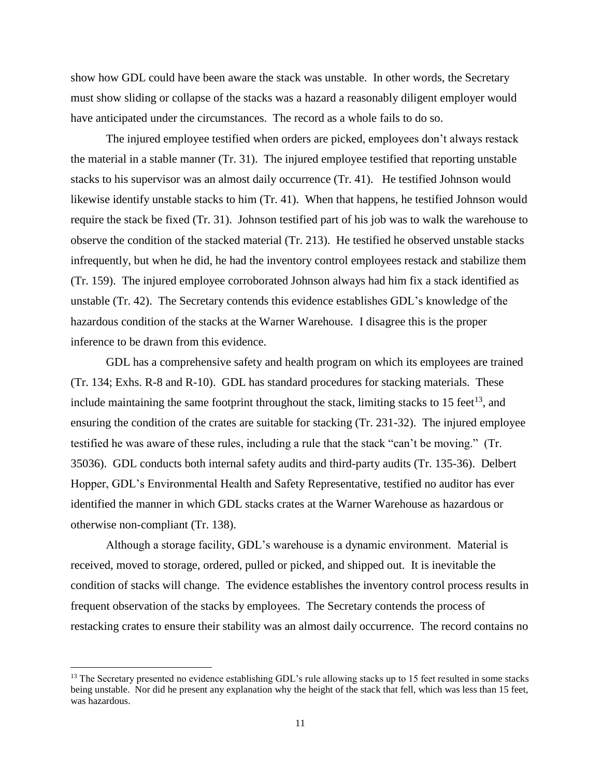show how GDL could have been aware the stack was unstable. In other words, the Secretary must show sliding or collapse of the stacks was a hazard a reasonably diligent employer would have anticipated under the circumstances. The record as a whole fails to do so.

The injured employee testified when orders are picked, employees don't always restack the material in a stable manner (Tr. 31). The injured employee testified that reporting unstable stacks to his supervisor was an almost daily occurrence (Tr. 41). He testified Johnson would likewise identify unstable stacks to him (Tr. 41). When that happens, he testified Johnson would require the stack be fixed (Tr. 31). Johnson testified part of his job was to walk the warehouse to observe the condition of the stacked material (Tr. 213). He testified he observed unstable stacks infrequently, but when he did, he had the inventory control employees restack and stabilize them (Tr. 159). The injured employee corroborated Johnson always had him fix a stack identified as unstable (Tr. 42). The Secretary contends this evidence establishes GDL's knowledge of the hazardous condition of the stacks at the Warner Warehouse. I disagree this is the proper inference to be drawn from this evidence.

GDL has a comprehensive safety and health program on which its employees are trained (Tr. 134; Exhs. R-8 and R-10). GDL has standard procedures for stacking materials. These include maintaining the same footprint throughout the stack, limiting stacks to 15 feet<sup>13</sup>, and ensuring the condition of the crates are suitable for stacking (Tr. 231-32). The injured employee testified he was aware of these rules, including a rule that the stack "can't be moving." (Tr. 35036). GDL conducts both internal safety audits and third-party audits (Tr. 135-36). Delbert Hopper, GDL's Environmental Health and Safety Representative, testified no auditor has ever identified the manner in which GDL stacks crates at the Warner Warehouse as hazardous or otherwise non-compliant (Tr. 138).

Although a storage facility, GDL's warehouse is a dynamic environment. Material is received, moved to storage, ordered, pulled or picked, and shipped out. It is inevitable the condition of stacks will change. The evidence establishes the inventory control process results in frequent observation of the stacks by employees. The Secretary contends the process of restacking crates to ensure their stability was an almost daily occurrence. The record contains no

<sup>&</sup>lt;sup>13</sup> The Secretary presented no evidence establishing GDL's rule allowing stacks up to 15 feet resulted in some stacks being unstable. Nor did he present any explanation why the height of the stack that fell, which was less than 15 feet, was hazardous.